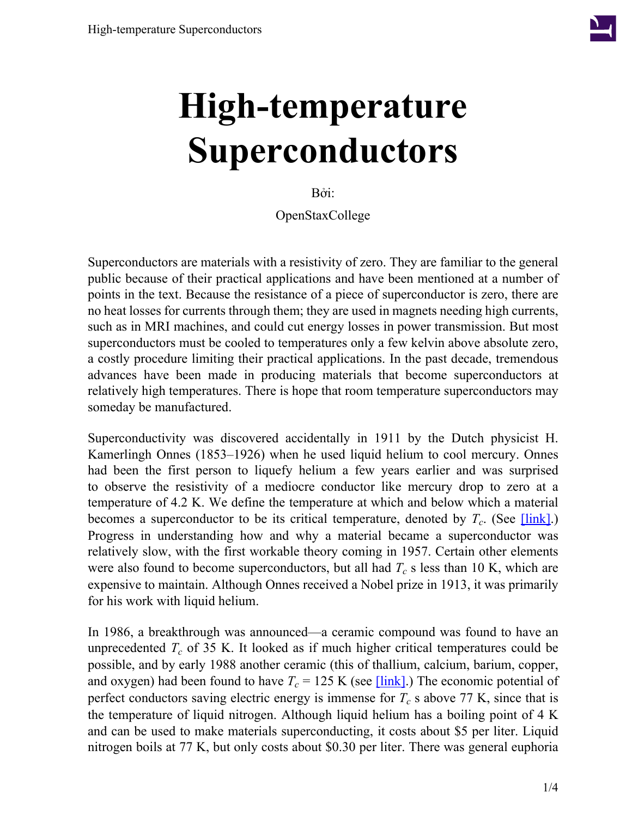

## **High-temperature Superconductors**

Bởi:

OpenStaxCollege

Superconductors are materials with a resistivity of zero. They are familiar to the general public because of their practical applications and have been mentioned at a number of points in the text. Because the resistance of a piece of superconductor is zero, there are no heat losses for currents through them; they are used in magnets needing high currents, such as in MRI machines, and could cut energy losses in power transmission. But most superconductors must be cooled to temperatures only a few kelvin above absolute zero, a costly procedure limiting their practical applications. In the past decade, tremendous advances have been made in producing materials that become superconductors at relatively high temperatures. There is hope that room temperature superconductors may someday be manufactured.

Superconductivity was discovered accidentally in 1911 by the Dutch physicist H. Kamerlingh Onnes (1853–1926) when he used liquid helium to cool mercury. Onnes had been the first person to liquefy helium a few years earlier and was surprised to observe the resistivity of a mediocre conductor like mercury drop to zero at a temperature of 4.2 K. We define the temperature at which and below which a material becomes a superconductor to be its critical temperature, denoted by  $T_c$ . (See  $[\text{link}]$ .) Progress in understanding how and why a material became a superconductor was relatively slow, with the first workable theory coming in 1957. Certain other elements were also found to become superconductors, but all had *T<sup>c</sup>* s less than 10 K, which are expensive to maintain. Although Onnes received a Nobel prize in 1913, it was primarily for his work with liquid helium.

In 1986, a breakthrough was announced—a ceramic compound was found to have an unprecedented  $T_c$  of 35 K. It looked as if much higher critical temperatures could be possible, and by early 1988 another ceramic (this of thallium, calcium, barium, copper, and oxygen) had been found to have  $T_c = 125$  K (see  $\boxed{\text{link}}$ ). The economic potential of perfect conductors saving electric energy is immense for  $T_c$  s above 77 K, since that is the temperature of liquid nitrogen. Although liquid helium has a boiling point of 4 K and can be used to make materials superconducting, it costs about \$5 per liter. Liquid nitrogen boils at 77 K, but only costs about \$0.30 per liter. There was general euphoria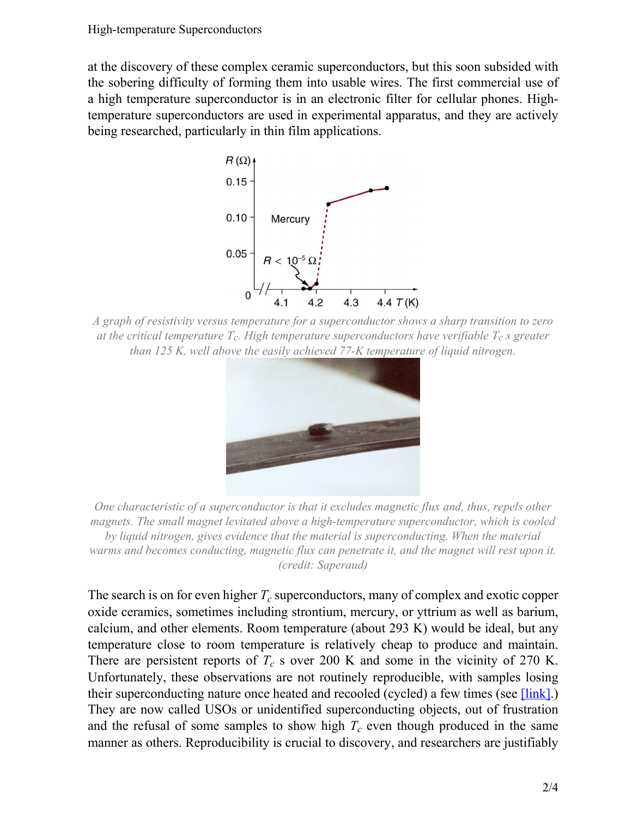<span id="page-1-0"></span>at the discovery of these complex ceramic superconductors, but this soon subsided with the sobering difficulty of forming them into usable wires. The first commercial use of a high temperature superconductor is in an electronic filter for cellular phones. Hightemperature superconductors are used in experimental apparatus, and they are actively being researched, particularly in thin film applications.



*A graph of resistivity versus temperature for a superconductor shows a sharp transition to zero at the critical temperature Tc. High temperature superconductors have verifiable Tc s greater than 125 K, well above the easily achieved 77-K temperature of liquid nitrogen.*

<span id="page-1-1"></span>

*One characteristic of a superconductor is that it excludes magnetic flux and, thus, repels other magnets. The small magnet levitated above a high-temperature superconductor, which is cooled by liquid nitrogen, gives evidence that the material is superconducting. When the material warms and becomes conducting, magnetic flux can penetrate it, and the magnet will rest upon it. (credit: Saperaud)*

The search is on for even higher  $T_c$  superconductors, many of complex and exotic copper oxide ceramics, sometimes including strontium, mercury, or yttrium as well as barium, calcium, and other elements. Room temperature (about 293 K) would be ideal, but any temperature close to room temperature is relatively cheap to produce and maintain. There are persistent reports of  $T_c$  s over 200 K and some in the vicinity of 270 K. Unfortunately, these observations are not routinely reproducible, with samples losing their superconducting nature once heated and recooled (cycled) a few times (see [\[link\].](#page-2-0)) They are now called USOs or unidentified superconducting objects, out of frustration and the refusal of some samples to show high  $T_c$  even though produced in the same manner as others. Reproducibility is crucial to discovery, and researchers are justifiably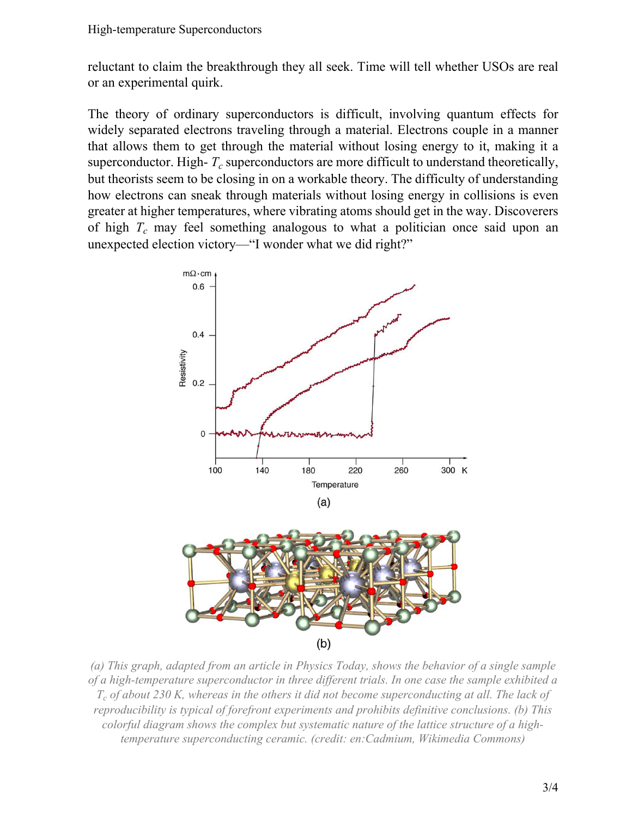reluctant to claim the breakthrough they all seek. Time will tell whether USOs are real or an experimental quirk.

The theory of ordinary superconductors is difficult, involving quantum effects for widely separated electrons traveling through a material. Electrons couple in a manner that allows them to get through the material without losing energy to it, making it a superconductor. High- *T<sup>c</sup>* superconductors are more difficult to understand theoretically, but theorists seem to be closing in on a workable theory. The difficulty of understanding how electrons can sneak through materials without losing energy in collisions is even greater at higher temperatures, where vibrating atoms should get in the way. Discoverers of high *T<sup>c</sup>* may feel something analogous to what a politician once said upon an unexpected election victory—"I wonder what we did right?"

<span id="page-2-0"></span>



*(a) This graph, adapted from an article in Physics Today, shows the behavior of a single sample of a high-temperature superconductor in three different trials. In one case the sample exhibited a T<sup>c</sup> of about 230 K, whereas in the others it did not become superconducting at all. The lack of reproducibility is typical of forefront experiments and prohibits definitive conclusions. (b) This colorful diagram shows the complex but systematic nature of the lattice structure of a hightemperature superconducting ceramic. (credit: en:Cadmium, Wikimedia Commons)*